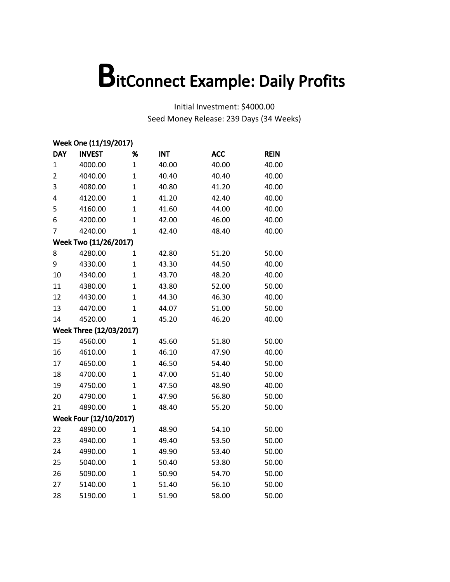|                | Week One (11/19/2017)   |                |            |            |             |  |  |  |
|----------------|-------------------------|----------------|------------|------------|-------------|--|--|--|
| <b>DAY</b>     | <b>INVEST</b>           | %              | <b>INT</b> | <b>ACC</b> | <b>REIN</b> |  |  |  |
| 1              | 4000.00                 | $\mathbf{1}$   | 40.00      | 40.00      | 40.00       |  |  |  |
| $\overline{2}$ | 4040.00                 | $\mathbf{1}$   | 40.40      | 40.40      | 40.00       |  |  |  |
| 3              | 4080.00                 | $\mathbf{1}$   | 40.80      | 41.20      | 40.00       |  |  |  |
| 4              | 4120.00                 | $\mathbf{1}$   | 41.20      | 42.40      | 40.00       |  |  |  |
| 5              | 4160.00                 | $\mathbf 1$    | 41.60      | 44.00      | 40.00       |  |  |  |
| 6              | 4200.00                 | $\overline{1}$ | 42.00      | 46.00      | 40.00       |  |  |  |
| 7              | 4240.00                 | $\mathbf{1}$   | 42.40      | 48.40      | 40.00       |  |  |  |
|                | Week Two (11/26/2017)   |                |            |            |             |  |  |  |
| 8              | 4280.00                 | 1              | 42.80      | 51.20      | 50.00       |  |  |  |
| 9              | 4330.00                 | $\mathbf{1}$   | 43.30      | 44.50      | 40.00       |  |  |  |
| 10             | 4340.00                 | $\mathbf 1$    | 43.70      | 48.20      | 40.00       |  |  |  |
| 11             | 4380.00                 | $\mathbf 1$    | 43.80      | 52.00      | 50.00       |  |  |  |
| 12             | 4430.00                 | $\overline{1}$ | 44.30      | 46.30      | 40.00       |  |  |  |
| 13             | 4470.00                 | $\overline{1}$ | 44.07      | 51.00      | 50.00       |  |  |  |
| 14             | 4520.00                 | 1              | 45.20      | 46.20      | 40.00       |  |  |  |
|                | Week Three (12/03/2017) |                |            |            |             |  |  |  |
| 15             | 4560.00                 | 1              | 45.60      | 51.80      | 50.00       |  |  |  |
| 16             | 4610.00                 | $\mathbf 1$    | 46.10      | 47.90      | 40.00       |  |  |  |
| 17             | 4650.00                 | $\mathbf{1}$   | 46.50      | 54.40      | 50.00       |  |  |  |
| 18             | 4700.00                 | $\mathbf{1}$   | 47.00      | 51.40      | 50.00       |  |  |  |
| 19             | 4750.00                 | $\overline{1}$ | 47.50      | 48.90      | 40.00       |  |  |  |
| 20             | 4790.00                 | $\overline{1}$ | 47.90      | 56.80      | 50.00       |  |  |  |
| 21             | 4890.00                 | $\mathbf{1}$   | 48.40      | 55.20      | 50.00       |  |  |  |
|                | Week Four (12/10/2017)  |                |            |            |             |  |  |  |
| 22             | 4890.00                 | $\mathbf 1$    | 48.90      | 54.10      | 50.00       |  |  |  |
| 23             | 4940.00                 | $\mathbf 1$    | 49.40      | 53.50      | 50.00       |  |  |  |
| 24             | 4990.00                 | $\overline{1}$ | 49.90      | 53.40      | 50.00       |  |  |  |
| 25             | 5040.00                 | $\overline{1}$ | 50.40      | 53.80      | 50.00       |  |  |  |
| 26             | 5090.00                 | $\mathbf 1$    | 50.90      | 54.70      | 50.00       |  |  |  |
| 27             | 5140.00                 | $\mathbf 1$    | 51.40      | 56.10      | 50.00       |  |  |  |
| 28             | 5190.00                 | $\overline{1}$ | 51.90      | 58.00      | 50.00       |  |  |  |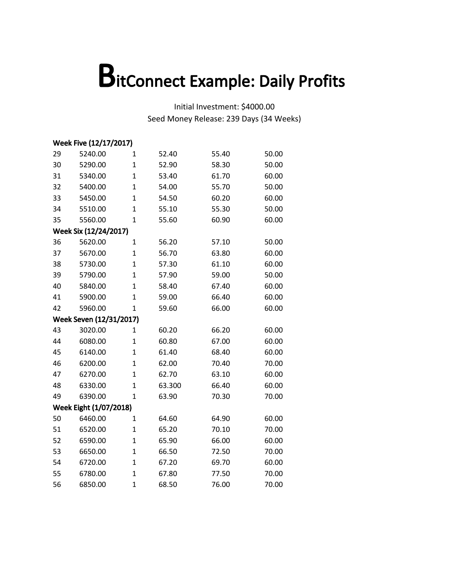|    | Week Five (12/17/2017)  |                |        |       |       |  |  |  |
|----|-------------------------|----------------|--------|-------|-------|--|--|--|
| 29 | 5240.00                 | $\mathbf 1$    | 52.40  | 55.40 | 50.00 |  |  |  |
| 30 | 5290.00                 | $\mathbf{1}$   | 52.90  | 58.30 | 50.00 |  |  |  |
| 31 | 5340.00                 | $\mathbf{1}$   | 53.40  | 61.70 | 60.00 |  |  |  |
| 32 | 5400.00                 | $\mathbf{1}$   | 54.00  | 55.70 | 50.00 |  |  |  |
| 33 | 5450.00                 | $\mathbf{1}$   | 54.50  | 60.20 | 60.00 |  |  |  |
| 34 | 5510.00                 | $\mathbf{1}$   | 55.10  | 55.30 | 50.00 |  |  |  |
| 35 | 5560.00                 | $\mathbf 1$    | 55.60  | 60.90 | 60.00 |  |  |  |
|    | Week Six (12/24/2017)   |                |        |       |       |  |  |  |
| 36 | 5620.00                 | $\mathbf 1$    | 56.20  | 57.10 | 50.00 |  |  |  |
| 37 | 5670.00                 | $\mathbf{1}$   | 56.70  | 63.80 | 60.00 |  |  |  |
| 38 | 5730.00                 | $\mathbf{1}$   | 57.30  | 61.10 | 60.00 |  |  |  |
| 39 | 5790.00                 | $\mathbf{1}$   | 57.90  | 59.00 | 50.00 |  |  |  |
| 40 | 5840.00                 | $\mathbf{1}$   | 58.40  | 67.40 | 60.00 |  |  |  |
| 41 | 5900.00                 | $\mathbf{1}$   | 59.00  | 66.40 | 60.00 |  |  |  |
| 42 | 5960.00                 | $\mathbf{1}$   | 59.60  | 66.00 | 60.00 |  |  |  |
|    | Week Seven (12/31/2017) |                |        |       |       |  |  |  |
| 43 | 3020.00                 | $\mathbf{1}$   | 60.20  | 66.20 | 60.00 |  |  |  |
| 44 | 6080.00                 | $\mathbf 1$    | 60.80  | 67.00 | 60.00 |  |  |  |
| 45 | 6140.00                 | $\overline{1}$ | 61.40  | 68.40 | 60.00 |  |  |  |
| 46 | 6200.00                 | $\mathbf{1}$   | 62.00  | 70.40 | 70.00 |  |  |  |
| 47 | 6270.00                 | $\mathbf{1}$   | 62.70  | 63.10 | 60.00 |  |  |  |
| 48 | 6330.00                 | $\overline{1}$ | 63.300 | 66.40 | 60.00 |  |  |  |
| 49 | 6390.00                 | $\mathbf{1}$   | 63.90  | 70.30 | 70.00 |  |  |  |
|    | Week Eight (1/07/2018)  |                |        |       |       |  |  |  |
| 50 | 6460.00                 | $\mathbf{1}$   | 64.60  | 64.90 | 60.00 |  |  |  |
| 51 | 6520.00                 | $\mathbf{1}$   | 65.20  | 70.10 | 70.00 |  |  |  |
| 52 | 6590.00                 | $\overline{1}$ | 65.90  | 66.00 | 60.00 |  |  |  |
| 53 | 6650.00                 | $\mathbf{1}$   | 66.50  | 72.50 | 70.00 |  |  |  |
| 54 | 6720.00                 | $\mathbf 1$    | 67.20  | 69.70 | 60.00 |  |  |  |
| 55 | 6780.00                 | $\mathbf 1$    | 67.80  | 77.50 | 70.00 |  |  |  |
| 56 | 6850.00                 | $\mathbf{1}$   | 68.50  | 76.00 | 70.00 |  |  |  |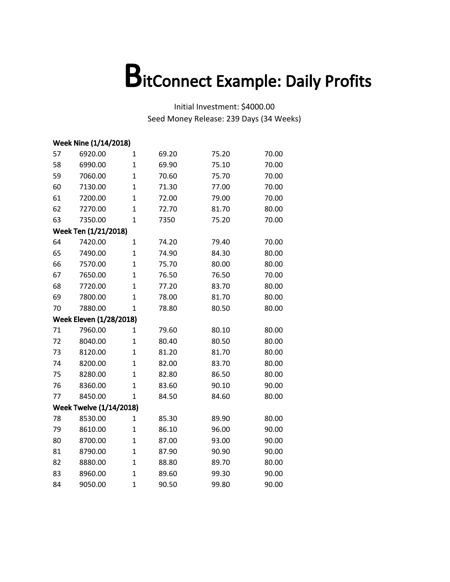| Week Nine (1/14/2018) |                                |                |       |       |       |  |
|-----------------------|--------------------------------|----------------|-------|-------|-------|--|
| 57                    | 6920.00                        | $\mathbf 1$    | 69.20 | 75.20 | 70.00 |  |
| 58                    | 6990.00                        | $\mathbf{1}$   | 69.90 | 75.10 | 70.00 |  |
| 59                    | 7060.00                        | $\mathbf 1$    | 70.60 | 75.70 | 70.00 |  |
| 60                    | 7130.00                        | $\overline{1}$ | 71.30 | 77.00 | 70.00 |  |
| 61                    | 7200.00                        | $\overline{1}$ | 72.00 | 79.00 | 70.00 |  |
| 62                    | 7270.00                        | $\mathbf{1}$   | 72.70 | 81.70 | 80.00 |  |
| 63                    | 7350.00                        | $\mathbf 1$    | 7350  | 75.20 | 70.00 |  |
|                       | Week Ten (1/21/2018)           |                |       |       |       |  |
| 64                    | 7420.00                        | $\mathbf 1$    | 74.20 | 79.40 | 70.00 |  |
| 65                    | 7490.00                        | $\mathbf 1$    | 74.90 | 84.30 | 80.00 |  |
| 66                    | 7570.00                        | $\overline{1}$ | 75.70 | 80.00 | 80.00 |  |
| 67                    | 7650.00                        | $\mathbf{1}$   | 76.50 | 76.50 | 70.00 |  |
| 68                    | 7720.00                        | $\mathbf{1}$   | 77.20 | 83.70 | 80.00 |  |
| 69                    | 7800.00                        | $\mathbf{1}$   | 78.00 | 81.70 | 80.00 |  |
| 70                    | 7880.00                        | $\mathbf 1$    | 78.80 | 80.50 | 80.00 |  |
|                       | <b>Week Eleven (1/28/2018)</b> |                |       |       |       |  |
| 71                    | 7960.00                        | 1              | 79.60 | 80.10 | 80.00 |  |
| 72                    | 8040.00                        | $\mathbf 1$    | 80.40 | 80.50 | 80.00 |  |
| 73                    | 8120.00                        | $\overline{1}$ | 81.20 | 81.70 | 80.00 |  |
| 74                    | 8200.00                        | $\mathbf 1$    | 82.00 | 83.70 | 80.00 |  |
| 75                    | 8280.00                        | $\mathbf{1}$   | 82.80 | 86.50 | 80.00 |  |
| 76                    | 8360.00                        | $\overline{1}$ | 83.60 | 90.10 | 90.00 |  |
| 77                    | 8450.00                        | 1              | 84.50 | 84.60 | 80.00 |  |
|                       | <b>Week Twelve (1/14/2018)</b> |                |       |       |       |  |
| 78                    | 8530.00                        | $\mathbf{1}$   | 85.30 | 89.90 | 80.00 |  |
| 79                    | 8610.00                        | $\mathbf{1}$   | 86.10 | 96.00 | 90.00 |  |
| 80                    | 8700.00                        | $\mathbf{1}$   | 87.00 | 93.00 | 90.00 |  |
| 81                    | 8790.00                        | $\overline{1}$ | 87.90 | 90.90 | 90.00 |  |
| 82                    | 8880.00                        | $\mathbf{1}$   | 88.80 | 89.70 | 80.00 |  |
| 83                    | 8960.00                        | $\mathbf{1}$   | 89.60 | 99.30 | 90.00 |  |
| 84                    | 9050.00                        | $\overline{1}$ | 90.50 | 99.80 | 90.00 |  |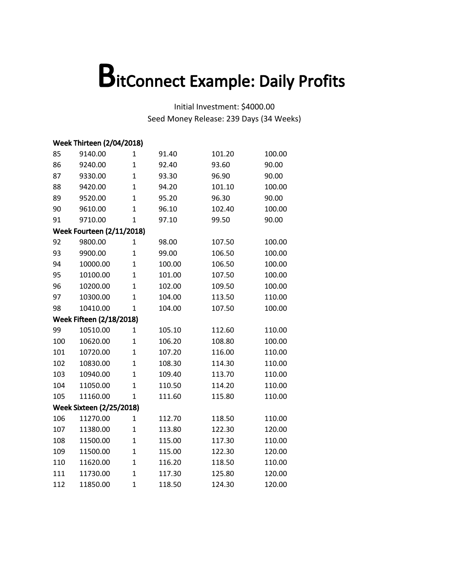|     | <b>Week Thirteen (2/04/2018)</b> |                |        |        |        |
|-----|----------------------------------|----------------|--------|--------|--------|
| 85  | 9140.00                          | 1              | 91.40  | 101.20 | 100.00 |
| 86  | 9240.00                          | $\mathbf{1}$   | 92.40  | 93.60  | 90.00  |
| 87  | 9330.00                          | $\overline{1}$ | 93.30  | 96.90  | 90.00  |
| 88  | 9420.00                          | $\overline{1}$ | 94.20  | 101.10 | 100.00 |
| 89  | 9520.00                          | $\overline{1}$ | 95.20  | 96.30  | 90.00  |
| 90  | 9610.00                          | $\mathbf{1}$   | 96.10  | 102.40 | 100.00 |
| 91  | 9710.00                          | $\overline{1}$ | 97.10  | 99.50  | 90.00  |
|     | <b>Week Fourteen (2/11/2018)</b> |                |        |        |        |
| 92  | 9800.00                          | 1              | 98.00  | 107.50 | 100.00 |
| 93  | 9900.00                          | $\mathbf{1}$   | 99.00  | 106.50 | 100.00 |
| 94  | 10000.00                         | $\mathbf{1}$   | 100.00 | 106.50 | 100.00 |
| 95  | 10100.00                         | $\mathbf{1}$   | 101.00 | 107.50 | 100.00 |
| 96  | 10200.00                         | $\mathbf{1}$   | 102.00 | 109.50 | 100.00 |
| 97  | 10300.00                         | $\mathbf{1}$   | 104.00 | 113.50 | 110.00 |
| 98  | 10410.00                         | $\overline{1}$ | 104.00 | 107.50 | 100.00 |
|     | <b>Week Fifteen (2/18/2018)</b>  |                |        |        |        |
| 99  | 10510.00                         | $\mathbf{1}$   | 105.10 | 112.60 | 110.00 |
| 100 | 10620.00                         | 1              | 106.20 | 108.80 | 100.00 |
| 101 | 10720.00                         | $\mathbf{1}$   | 107.20 | 116.00 | 110.00 |
| 102 | 10830.00                         | $\overline{1}$ | 108.30 | 114.30 | 110.00 |
| 103 | 10940.00                         | $\mathbf{1}$   | 109.40 | 113.70 | 110.00 |
| 104 | 11050.00                         | $\overline{1}$ | 110.50 | 114.20 | 110.00 |
| 105 | 11160.00                         | 1              | 111.60 | 115.80 | 110.00 |
|     | <b>Week Sixteen (2/25/2018)</b>  |                |        |        |        |
| 106 | 11270.00                         | $\mathbf{1}$   | 112.70 | 118.50 | 110.00 |
| 107 | 11380.00                         | $\mathbf{1}$   | 113.80 | 122.30 | 120.00 |
| 108 | 11500.00                         | $\mathbf{1}$   | 115.00 | 117.30 | 110.00 |
| 109 | 11500.00                         | $\mathbf{1}$   | 115.00 | 122.30 | 120.00 |
| 110 | 11620.00                         | $\mathbf{1}$   | 116.20 | 118.50 | 110.00 |
| 111 | 11730.00                         | $\overline{1}$ | 117.30 | 125.80 | 120.00 |
| 112 | 11850.00                         | $\overline{1}$ | 118.50 | 124.30 | 120.00 |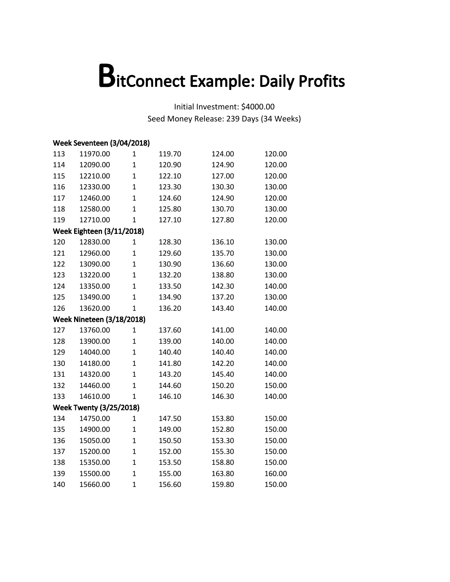|     | Week Seventeen (3/04/2018)       |                |        |        |        |
|-----|----------------------------------|----------------|--------|--------|--------|
| 113 | 11970.00                         | 1              | 119.70 | 124.00 | 120.00 |
| 114 | 12090.00                         | 1              | 120.90 | 124.90 | 120.00 |
| 115 | 12210.00                         | $\mathbf{1}$   | 122.10 | 127.00 | 120.00 |
| 116 | 12330.00                         | $\overline{1}$ | 123.30 | 130.30 | 130.00 |
| 117 | 12460.00                         | $\overline{1}$ | 124.60 | 124.90 | 120.00 |
| 118 | 12580.00                         | $\mathbf{1}$   | 125.80 | 130.70 | 130.00 |
| 119 | 12710.00                         | $\mathbf{1}$   | 127.10 | 127.80 | 120.00 |
|     | <b>Week Eighteen (3/11/2018)</b> |                |        |        |        |
| 120 | 12830.00                         | 1              | 128.30 | 136.10 | 130.00 |
| 121 | 12960.00                         | $\overline{1}$ | 129.60 | 135.70 | 130.00 |
| 122 | 13090.00                         | $\overline{1}$ | 130.90 | 136.60 | 130.00 |
| 123 | 13220.00                         | $\mathbf{1}$   | 132.20 | 138.80 | 130.00 |
| 124 | 13350.00                         | $\overline{1}$ | 133.50 | 142.30 | 140.00 |
| 125 | 13490.00                         | $\overline{1}$ | 134.90 | 137.20 | 130.00 |
| 126 | 13620.00                         | $\mathbf{1}$   | 136.20 | 143.40 | 140.00 |
|     | <b>Week Nineteen (3/18/2018)</b> |                |        |        |        |
| 127 | 13760.00                         | $\mathbf{1}$   | 137.60 | 141.00 | 140.00 |
| 128 | 13900.00                         | 1              | 139.00 | 140.00 | 140.00 |
| 129 | 14040.00                         | $\overline{1}$ | 140.40 | 140.40 | 140.00 |
| 130 | 14180.00                         | $\overline{1}$ | 141.80 | 142.20 | 140.00 |
| 131 | 14320.00                         | $\mathbf{1}$   | 143.20 | 145.40 | 140.00 |
| 132 | 14460.00                         | $\overline{1}$ | 144.60 | 150.20 | 150.00 |
| 133 | 14610.00                         | $\mathbf{1}$   | 146.10 | 146.30 | 140.00 |
|     | <b>Week Twenty (3/25/2018)</b>   |                |        |        |        |
| 134 | 14750.00                         | $\mathbf{1}$   | 147.50 | 153.80 | 150.00 |
| 135 | 14900.00                         | $\mathbf{1}$   | 149.00 | 152.80 | 150.00 |
| 136 | 15050.00                         | $\mathbf{1}$   | 150.50 | 153.30 | 150.00 |
| 137 | 15200.00                         | $\overline{1}$ | 152.00 | 155.30 | 150.00 |
| 138 | 15350.00                         | $\mathbf{1}$   | 153.50 | 158.80 | 150.00 |
| 139 | 15500.00                         | $\mathbf{1}$   | 155.00 | 163.80 | 160.00 |
| 140 | 15660.00                         | $\overline{1}$ | 156.60 | 159.80 | 150.00 |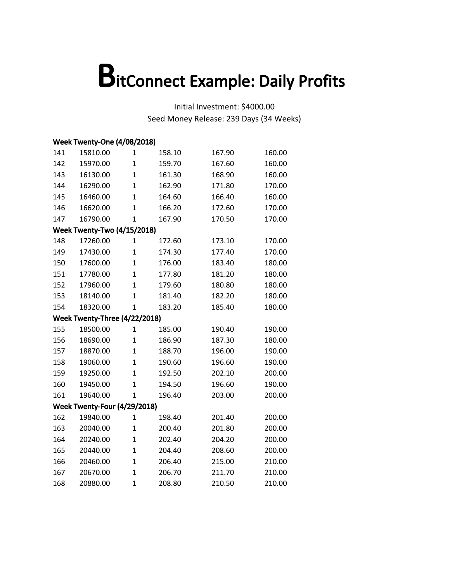| <b>Week Twenty-One (4/08/2018)</b> |                                    |                |        |        |        |  |  |
|------------------------------------|------------------------------------|----------------|--------|--------|--------|--|--|
| 141                                | 15810.00                           | 1              | 158.10 | 167.90 | 160.00 |  |  |
| 142                                | 15970.00                           | $\mathbf 1$    | 159.70 | 167.60 | 160.00 |  |  |
| 143                                | 16130.00                           | $\mathbf{1}$   | 161.30 | 168.90 | 160.00 |  |  |
| 144                                | 16290.00                           | $\mathbf 1$    | 162.90 | 171.80 | 170.00 |  |  |
| 145                                | 16460.00                           | $\mathbf{1}$   | 164.60 | 166.40 | 160.00 |  |  |
| 146                                | 16620.00                           | $\mathbf{1}$   | 166.20 | 172.60 | 170.00 |  |  |
| 147                                | 16790.00                           | $\overline{1}$ | 167.90 | 170.50 | 170.00 |  |  |
|                                    | <b>Week Twenty-Two (4/15/2018)</b> |                |        |        |        |  |  |
| 148                                | 17260.00                           | $\mathbf 1$    | 172.60 | 173.10 | 170.00 |  |  |
| 149                                | 17430.00                           | $\mathbf{1}$   | 174.30 | 177.40 | 170.00 |  |  |
| 150                                | 17600.00                           | $\mathbf{1}$   | 176.00 | 183.40 | 180.00 |  |  |
| 151                                | 17780.00                           | $\mathbf{1}$   | 177.80 | 181.20 | 180.00 |  |  |
| 152                                | 17960.00                           | $\mathbf{1}$   | 179.60 | 180.80 | 180.00 |  |  |
| 153                                | 18140.00                           | $\mathbf{1}$   | 181.40 | 182.20 | 180.00 |  |  |
| 154                                | 18320.00                           | $\mathbf{1}$   | 183.20 | 185.40 | 180.00 |  |  |
|                                    | Week Twenty-Three (4/22/2018)      |                |        |        |        |  |  |
| 155                                | 18500.00                           | 1              | 185.00 | 190.40 | 190.00 |  |  |
| 156                                | 18690.00                           | $\mathbf{1}$   | 186.90 | 187.30 | 180.00 |  |  |
| 157                                | 18870.00                           | $\mathbf{1}$   | 188.70 | 196.00 | 190.00 |  |  |
| 158                                | 19060.00                           | $\mathbf{1}$   | 190.60 | 196.60 | 190.00 |  |  |
| 159                                | 19250.00                           | $\mathbf{1}$   | 192.50 | 202.10 | 200.00 |  |  |
| 160                                | 19450.00                           | $\overline{1}$ | 194.50 | 196.60 | 190.00 |  |  |
| 161                                | 19640.00                           | $\mathbf{1}$   | 196.40 | 203.00 | 200.00 |  |  |
|                                    | Week Twenty-Four (4/29/2018)       |                |        |        |        |  |  |
| 162                                | 19840.00                           | $\mathbf 1$    | 198.40 | 201.40 | 200.00 |  |  |
| 163                                | 20040.00                           | $\mathbf{1}$   | 200.40 | 201.80 | 200.00 |  |  |
| 164                                | 20240.00                           | $\mathbf{1}$   | 202.40 | 204.20 | 200.00 |  |  |
| 165                                | 20440.00                           | $\mathbf{1}$   | 204.40 | 208.60 | 200.00 |  |  |
| 166                                | 20460.00                           | $\mathbf{1}$   | 206.40 | 215.00 | 210.00 |  |  |
| 167                                | 20670.00                           | $\mathbf{1}$   | 206.70 | 211.70 | 210.00 |  |  |
| 168                                | 20880.00                           | $\mathbf 1$    | 208.80 | 210.50 | 210.00 |  |  |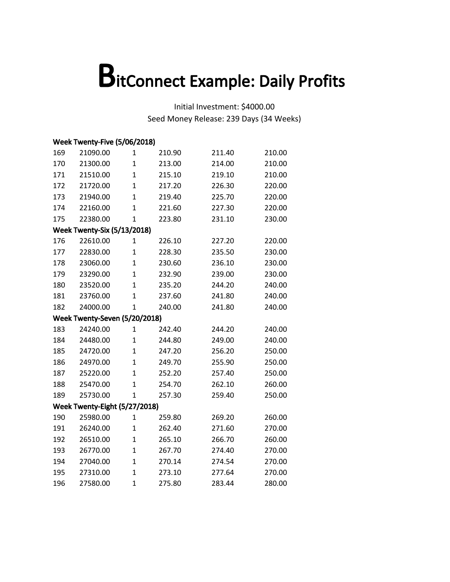|     | Week Twenty-Five (5/06/2018)       |                |        |        |        |  |  |  |
|-----|------------------------------------|----------------|--------|--------|--------|--|--|--|
| 169 | 21090.00                           | 1              | 210.90 | 211.40 | 210.00 |  |  |  |
| 170 | 21300.00                           | $\mathbf 1$    | 213.00 | 214.00 | 210.00 |  |  |  |
| 171 | 21510.00                           | $\mathbf{1}$   | 215.10 | 219.10 | 210.00 |  |  |  |
| 172 | 21720.00                           | $\mathbf{1}$   | 217.20 | 226.30 | 220.00 |  |  |  |
| 173 | 21940.00                           | $\mathbf{1}$   | 219.40 | 225.70 | 220.00 |  |  |  |
| 174 | 22160.00                           | $\mathbf{1}$   | 221.60 | 227.30 | 220.00 |  |  |  |
| 175 | 22380.00                           | $\mathbf{1}$   | 223.80 | 231.10 | 230.00 |  |  |  |
|     | <b>Week Twenty-Six (5/13/2018)</b> |                |        |        |        |  |  |  |
| 176 | 22610.00                           | $\mathbf 1$    | 226.10 | 227.20 | 220.00 |  |  |  |
| 177 | 22830.00                           | $\mathbf{1}$   | 228.30 | 235.50 | 230.00 |  |  |  |
| 178 | 23060.00                           | $\mathbf{1}$   | 230.60 | 236.10 | 230.00 |  |  |  |
| 179 | 23290.00                           | $\mathbf{1}$   | 232.90 | 239.00 | 230.00 |  |  |  |
| 180 | 23520.00                           | $\mathbf{1}$   | 235.20 | 244.20 | 240.00 |  |  |  |
| 181 | 23760.00                           | $\mathbf{1}$   | 237.60 | 241.80 | 240.00 |  |  |  |
| 182 | 24000.00                           | $\mathbf{1}$   | 240.00 | 241.80 | 240.00 |  |  |  |
|     | Week Twenty-Seven (5/20/2018)      |                |        |        |        |  |  |  |
| 183 | 24240.00                           | $\mathbf{1}$   | 242.40 | 244.20 | 240.00 |  |  |  |
| 184 | 24480.00                           | $\mathbf{1}$   | 244.80 | 249.00 | 240.00 |  |  |  |
| 185 | 24720.00                           | $\mathbf{1}$   | 247.20 | 256.20 | 250.00 |  |  |  |
| 186 | 24970.00                           | $\mathbf{1}$   | 249.70 | 255.90 | 250.00 |  |  |  |
| 187 | 25220.00                           | $\mathbf{1}$   | 252.20 | 257.40 | 250.00 |  |  |  |
| 188 | 25470.00                           | $\overline{1}$ | 254.70 | 262.10 | 260.00 |  |  |  |
| 189 | 25730.00                           | $\mathbf{1}$   | 257.30 | 259.40 | 250.00 |  |  |  |
|     | Week Twenty-Eight (5/27/2018)      |                |        |        |        |  |  |  |
| 190 | 25980.00                           | $\mathbf{1}$   | 259.80 | 269.20 | 260.00 |  |  |  |
| 191 | 26240.00                           | $\mathbf{1}$   | 262.40 | 271.60 | 270.00 |  |  |  |
| 192 | 26510.00                           | $\mathbf{1}$   | 265.10 | 266.70 | 260.00 |  |  |  |
| 193 | 26770.00                           | $\mathbf{1}$   | 267.70 | 274.40 | 270.00 |  |  |  |
| 194 | 27040.00                           | $\mathbf{1}$   | 270.14 | 274.54 | 270.00 |  |  |  |
| 195 | 27310.00                           | $\mathbf{1}$   | 273.10 | 277.64 | 270.00 |  |  |  |
| 196 | 27580.00                           | $\mathbf 1$    | 275.80 | 283.44 | 280.00 |  |  |  |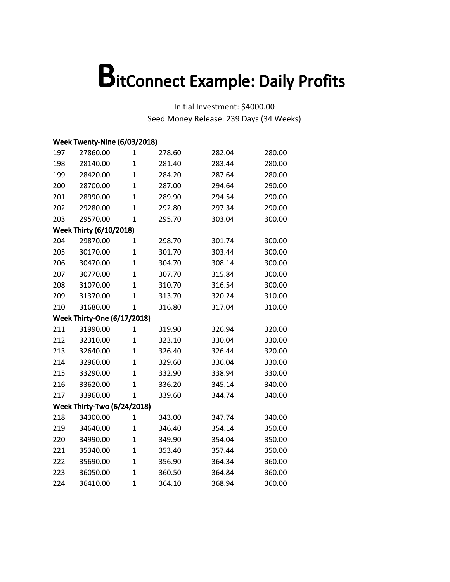|     | Week Twenty-Nine (6/03/2018)       |                |        |        |        |  |  |  |
|-----|------------------------------------|----------------|--------|--------|--------|--|--|--|
| 197 | 27860.00                           | $\mathbf 1$    | 278.60 | 282.04 | 280.00 |  |  |  |
| 198 | 28140.00                           | $\mathbf{1}$   | 281.40 | 283.44 | 280.00 |  |  |  |
| 199 | 28420.00                           | $\mathbf{1}$   | 284.20 | 287.64 | 280.00 |  |  |  |
| 200 | 28700.00                           | $\mathbf{1}$   | 287.00 | 294.64 | 290.00 |  |  |  |
| 201 | 28990.00                           | $\mathbf{1}$   | 289.90 | 294.54 | 290.00 |  |  |  |
| 202 | 29280.00                           | $\overline{1}$ | 292.80 | 297.34 | 290.00 |  |  |  |
| 203 | 29570.00                           | $\mathbf{1}$   | 295.70 | 303.04 | 300.00 |  |  |  |
|     | <b>Week Thirty (6/10/2018)</b>     |                |        |        |        |  |  |  |
| 204 | 29870.00                           | $\mathbf{1}$   | 298.70 | 301.74 | 300.00 |  |  |  |
| 205 | 30170.00                           | $\mathbf{1}$   | 301.70 | 303.44 | 300.00 |  |  |  |
| 206 | 30470.00                           | $\mathbf{1}$   | 304.70 | 308.14 | 300.00 |  |  |  |
| 207 | 30770.00                           | $\mathbf 1$    | 307.70 | 315.84 | 300.00 |  |  |  |
| 208 | 31070.00                           | $\mathbf{1}$   | 310.70 | 316.54 | 300.00 |  |  |  |
| 209 | 31370.00                           | $\mathbf{1}$   | 313.70 | 320.24 | 310.00 |  |  |  |
| 210 | 31680.00                           | $\mathbf{1}$   | 316.80 | 317.04 | 310.00 |  |  |  |
|     | <b>Week Thirty-One (6/17/2018)</b> |                |        |        |        |  |  |  |
| 211 | 31990.00                           | $\mathbf{1}$   | 319.90 | 326.94 | 320.00 |  |  |  |
| 212 | 32310.00                           | $\mathbf{1}$   | 323.10 | 330.04 | 330.00 |  |  |  |
| 213 | 32640.00                           | $\mathbf{1}$   | 326.40 | 326.44 | 320.00 |  |  |  |
| 214 | 32960.00                           | $\mathbf{1}$   | 329.60 | 336.04 | 330.00 |  |  |  |
| 215 | 33290.00                           | $\mathbf{1}$   | 332.90 | 338.94 | 330.00 |  |  |  |
| 216 | 33620.00                           | $\overline{1}$ | 336.20 | 345.14 | 340.00 |  |  |  |
| 217 | 33960.00                           | $\mathbf{1}$   | 339.60 | 344.74 | 340.00 |  |  |  |
|     | <b>Week Thirty-Two (6/24/2018)</b> |                |        |        |        |  |  |  |
| 218 | 34300.00                           | $\mathbf{1}$   | 343.00 | 347.74 | 340.00 |  |  |  |
| 219 | 34640.00                           | $\mathbf{1}$   | 346.40 | 354.14 | 350.00 |  |  |  |
| 220 | 34990.00                           | $\mathbf{1}$   | 349.90 | 354.04 | 350.00 |  |  |  |
| 221 | 35340.00                           | $\mathbf{1}$   | 353.40 | 357.44 | 350.00 |  |  |  |
| 222 | 35690.00                           | $\mathbf{1}$   | 356.90 | 364.34 | 360.00 |  |  |  |
| 223 | 36050.00                           | $\mathbf{1}$   | 360.50 | 364.84 | 360.00 |  |  |  |
| 224 | 36410.00                           | $\mathbf 1$    | 364.10 | 368.94 | 360.00 |  |  |  |